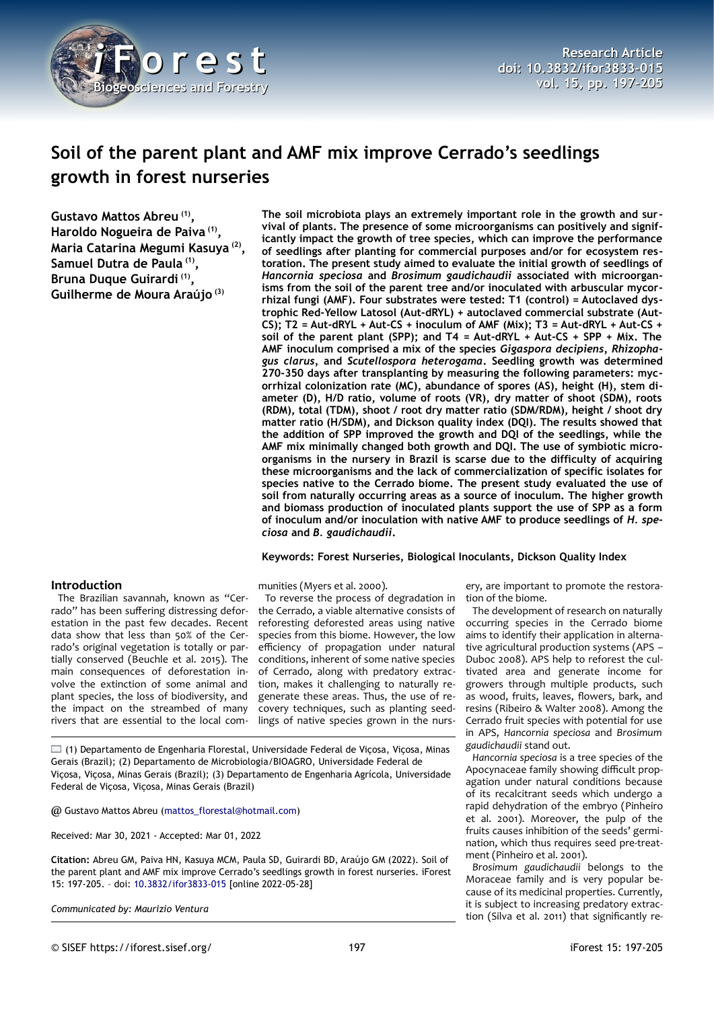

# **Soil of the parent plant and AMF mix improve Cerrado's seedlings growth in forest nurseries**

**The soil microbiota plays an extremely important role in the growth and survival of plants. The presence of some microorganisms can positively and significantly impact the growth of tree species, which can improve the performance of seedlings after planting for commercial purposes and/or for ecosystem restoration. The present study aimed to evaluate the initial growth of seedlings of** *Hancornia speciosa* **and** *Brosimum gaudichaudii* **associated with microorganisms from the soil of the parent tree and/or inoculated with arbuscular mycorrhizal fungi (AMF). Four substrates were tested: T1 (control) = Autoclaved dystrophic Red-Yellow Latosol (Aut-dRYL) + autoclaved commercial substrate (Aut-CS); T2 = Aut-dRYL + Aut-CS + inoculum of AMF (Mix); T3 = Aut-dRYL + Aut-CS + soil of the parent plant (SPP); and T4 = Aut-dRYL + Aut-CS + SPP + Mix. The AMF inoculum comprised a mix of the species** *Gigaspora decipiens, Rhizophagus clarus,* **and** *Scutellospora heterogama***. Seedling growth was determined 270-350 days after transplanting by measuring the following parameters: mycorrhizal colonization rate (MC), abundance of spores (AS), height (H), stem diameter (D), H/D ratio, volume of roots (VR), dry matter of shoot (SDM), roots (RDM), total (TDM), shoot / root dry matter ratio (SDM/RDM), height / shoot dry matter ratio (H/SDM), and Dickson quality index (DQI). The results showed that the addition of SPP improved the growth and DQI of the seedlings, while the AMF mix minimally changed both growth and DQI. The use of symbiotic microorganisms in the nursery in Brazil is scarse due to the difficulty of acquiring these microorganisms and the lack of commercialization of specific isolates for species native to the Cerrado biome. The present study evaluated the use of soil from naturally occurring areas as a source of inoculum. The higher growth and biomass production of inoculated plants support the use of SPP as a form**

**Gustavo Mattos Abreu (1) , Haroldo Nogueira de Paiva (1) , Maria Catarina Megumi Kasuya (2) , Samuel Dutra de Paula (1) , Bruna Duque Guirardi (1) , Guilherme de Moura Araújo (3)**

### **Introduction**

The Brazilian savannah, known as "Cerrado" has been suffering distressing deforestation in the past few decades. Recent data show that less than 50% of the Cerrado's original vegetation is totally or partially conserved (Beuchle et al. 2015). The main consequences of deforestation involve the extinction of some animal and plant species, the loss of biodiversity, and the impact on the streambed of many rivers that are essential to the local com-

To reverse the process of degradation in the Cerrado, a viable alternative consists of reforesting deforested areas using native species from this biome. However, the low efficiency of propagation under natural conditions, inherent of some native species of Cerrado, along with predatory extraction, makes it challenging to naturally regenerate these areas. Thus, the use of recovery techniques, such as planting seedlings of native species grown in the nurs-

*ciosa* **and** *B. gaudichaudii***.**

munities (Myers et al. 2000).

 $\Box$  (1) Departamento de Engenharia Florestal, Universidade Federal de Viçosa, Viçosa, Minas Gerais (Brazil); (2) Departamento de Microbiologia/BIOAGRO, Universidade Federal de Viçosa, Viçosa, Minas Gerais (Brazil); (3) Departamento de Engenharia Agrícola, Universidade Federal de Viçosa, Viçosa, Minas Gerais (Brazil)

@ Gustavo Mattos Abreu ([mattos\\_florestal@hotmail.com](mailto:mattos_florestal@hotmail.com))

Received: Mar 30, 2021 - Accepted: Mar 01, 2022

**Citation:** Abreu GM, Paiva HN, Kasuya MCM, Paula SD, Guirardi BD, Araújo GM (2022). Soil of the parent plant and AMF mix improve Cerrado's seedlings growth in forest nurseries. iForest 15: 197-205. – doi: [10.3832/ifor3833-015](http://www.sisef.it/iforest/contents/?id=ifor3833-015) [online 2022-05-28]

*Communicated by: Maurizio Ventura*

**of inoculum and/or inoculation with native AMF to produce seedlings of** *H. spe-***Keywords: Forest Nurseries, Biological Inoculants, Dickson Quality Index**

> ery, are important to promote the restoration of the biome.

> The development of research on naturally occurring species in the Cerrado biome aims to identify their application in alternative agricultural production systems (APS – Duboc 2008). APS help to reforest the cultivated area and generate income for growers through multiple products, such as wood, fruits, leaves, flowers, bark, and resins (Ribeiro & Walter 2008). Among the Cerrado fruit species with potential for use in APS, *Hancornia speciosa* and *Brosimum gaudichaudii* stand out.

> *Hancornia speciosa* is a tree species of the Apocynaceae family showing difficult propagation under natural conditions because of its recalcitrant seeds which undergo a rapid dehydration of the embryo (Pinheiro et al. 2001). Moreover, the pulp of the fruits causes inhibition of the seeds' germination, which thus requires seed pre-treatment (Pinheiro et al. 2001).

> *Brosimum gaudichaudii* belongs to the Moraceae family and is very popular because of its medicinal properties. Currently, it is subject to increasing predatory extraction (Silva et al. 2011) that significantly re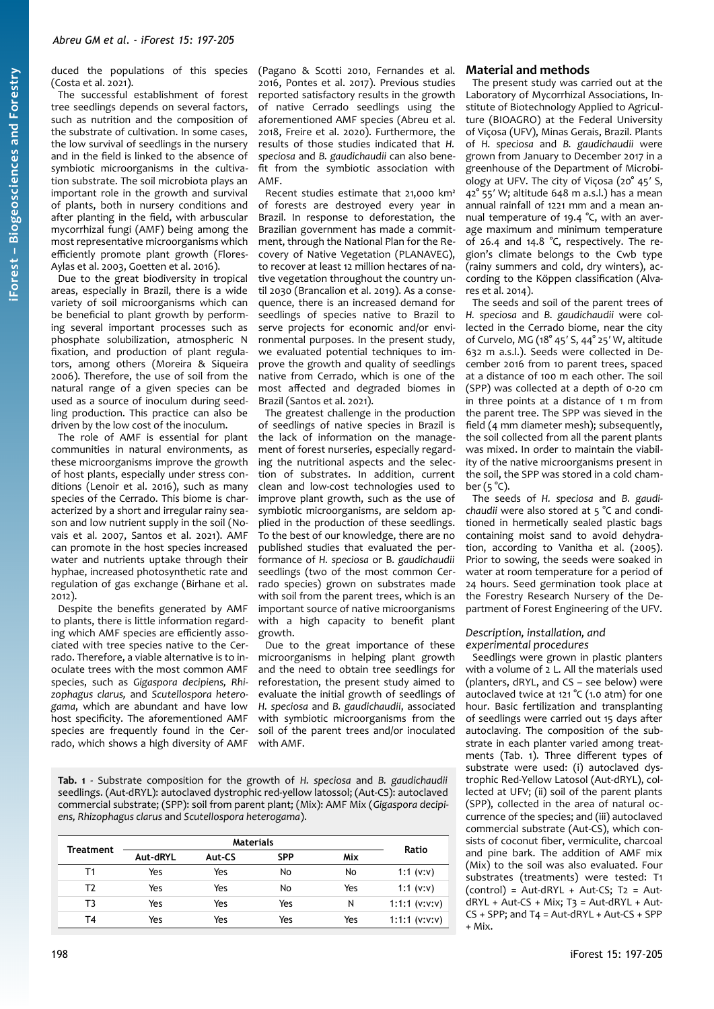duced the populations of this species (Costa et al. 2021).

The successful establishment of forest tree seedlings depends on several factors, such as nutrition and the composition of the substrate of cultivation. In some cases, the low survival of seedlings in the nursery and in the field is linked to the absence of symbiotic microorganisms in the cultivation substrate. The soil microbiota plays an important role in the growth and survival of plants, both in nursery conditions and after planting in the field, with arbuscular mycorrhizal fungi (AMF) being among the most representative microorganisms which efficiently promote plant growth (Flores-Aylas et al. 2003, Goetten et al. 2016).

Due to the great biodiversity in tropical areas, especially in Brazil, there is a wide variety of soil microorganisms which can be beneficial to plant growth by performing several important processes such as phosphate solubilization, atmospheric N fixation, and production of plant regulators, among others (Moreira & Siqueira 2006). Therefore, the use of soil from the natural range of a given species can be used as a source of inoculum during seedling production. This practice can also be driven by the low cost of the inoculum.

The role of AMF is essential for plant communities in natural environments, as these microorganisms improve the growth of host plants, especially under stress conditions (Lenoir et al. 2016), such as many species of the Cerrado. This biome is characterized by a short and irregular rainy season and low nutrient supply in the soil (Novais et al. 2007, Santos et al. 2021). AMF can promote in the host species increased water and nutrients uptake through their hyphae, increased photosynthetic rate and regulation of gas exchange (Birhane et al. 2012).

Despite the benefits generated by AMF to plants, there is little information regarding which AMF species are efficiently associated with tree species native to the Cerrado. Therefore, a viable alternative is to inoculate trees with the most common AMF species, such as *Gigaspora decipiens, Rhizophagus clarus,* and *Scutellospora heterogama*, which are abundant and have low host specificity. The aforementioned AMF species are frequently found in the Cerrado, which shows a high diversity of AMF

(Pagano & Scotti 2010, Fernandes et al. 2016, Pontes et al. 2017). Previous studies reported satisfactory results in the growth of native Cerrado seedlings using the aforementioned AMF species (Abreu et al. 2018, Freire et al. 2020). Furthermore, the results of those studies indicated that *H. speciosa* and *B. gaudichaudii* can also benefit from the symbiotic association with AMF.

Recent studies estimate that 21,000 km² of forests are destroyed every year in Brazil. In response to deforestation, the Brazilian government has made a commitment, through the National Plan for the Recovery of Native Vegetation (PLANAVEG), to recover at least 12 million hectares of native vegetation throughout the country until 2030 (Brancalion et al. 2019). As a consequence, there is an increased demand for seedlings of species native to Brazil to serve projects for economic and/or environmental purposes. In the present study, we evaluated potential techniques to improve the growth and quality of seedlings native from Cerrado, which is one of the most affected and degraded biomes in Brazil (Santos et al. 2021).

The greatest challenge in the production of seedlings of native species in Brazil is the lack of information on the management of forest nurseries, especially regarding the nutritional aspects and the selection of substrates. In addition, current clean and low-cost technologies used to improve plant growth, such as the use of symbiotic microorganisms, are seldom applied in the production of these seedlings. To the best of our knowledge, there are no published studies that evaluated the performance of *H. speciosa* or B*. gaudichaudii* seedlings (two of the most common Cerrado species) grown on substrates made with soil from the parent trees, which is an important source of native microorganisms with a high capacity to benefit plant growth.

Due to the great importance of these microorganisms in helping plant growth and the need to obtain tree seedlings for reforestation, the present study aimed to evaluate the initial growth of seedlings of *H. speciosa* and *B. gaudichaudii*, associated with symbiotic microorganisms from the soil of the parent trees and/or inoculated with AMF.

<span id="page-1-0"></span>**Tab. 1** - Substrate composition for the growth of *H. speciosa* and *B. gaudichaudii* seedlings. (Aut-dRYL): autoclaved dystrophic red-yellow latossol; (Aut-CS): autoclaved commercial substrate; (SPP): soil from parent plant; (Mix): AMF Mix (*Gigaspora decipiens, Rhizophagus clarus* and *Scutellospora heterogama*).

| Treatment | <b>Materials</b> |        |            |     | Ratio           |
|-----------|------------------|--------|------------|-----|-----------------|
|           | Aut-dRYL         | Aut-CS | <b>SPP</b> | Mix |                 |
| Τ1        | Yes              | Yes    | No         | No  | 1:1 $(v: v)$    |
| T2        | Yes              | Yes    | No         | Yes | 1:1 $(v: v)$    |
| T3        | Yes              | Yes    | Yes        | N   | $1:1:1$ (v:v:v) |
| T4        | Yes              | Yes    | Yes        | Yes | $1:1:1$ (v:v:v) |

### **Material and methods**

The present study was carried out at the Laboratory of Mycorrhizal Associations, Institute of Biotechnology Applied to Agriculture (BIOAGRO) at the Federal University of Viçosa (UFV), Minas Gerais, Brazil. Plants of *H. speciosa* and *B. gaudichaudii* were grown from January to December 2017 in a greenhouse of the Department of Microbiology at UFV. The city of Viçosa (20° 45′ S, 42° 55′ W; altitude 648 m a.s.l.) has a mean annual rainfall of 1221 mm and a mean annual temperature of 19.4 °C, with an average maximum and minimum temperature of 26.4 and 14.8 °C, respectively. The region's climate belongs to the Cwb type (rainy summers and cold, dry winters), according to the Köppen classification (Alvares et al. 2014).

The seeds and soil of the parent trees of *H. speciosa* and *B. gaudichaudii* were collected in the Cerrado biome, near the city of Curvelo, MG (18° 45′ S, 44° 25′ W, altitude 632 m a.s.l.). Seeds were collected in December 2016 from 10 parent trees, spaced at a distance of 100 m each other. The soil (SPP) was collected at a depth of 0-20 cm in three points at a distance of 1 m from the parent tree. The SPP was sieved in the field (4 mm diameter mesh); subsequently, the soil collected from all the parent plants was mixed. In order to maintain the viability of the native microorganisms present in the soil, the SPP was stored in a cold chamber  $(5 °C)$ .

The seeds of *H. speciosa* and *B. gaudichaudii* were also stored at 5 °C and conditioned in hermetically sealed plastic bags containing moist sand to avoid dehydration, according to Vanitha et al. (2005). Prior to sowing, the seeds were soaked in water at room temperature for a period of 24 hours. Seed germination took place at the Forestry Research Nursery of the Department of Forest Engineering of the UFV.

#### *Description, installation, and experimental procedures*

Seedlings were grown in plastic planters with a volume of 2 L. All the materials used (planters, dRYL, and CS – see below) were autoclaved twice at 121 °C (1.0 atm) for one hour. Basic fertilization and transplanting of seedlings were carried out 15 days after autoclaving. The composition of the substrate in each planter varied among treatments [\(Tab. 1](#page-1-0)). Three different types of substrate were used: (i) autoclaved dystrophic Red-Yellow Latosol (Aut-dRYL), collected at UFV; (ii) soil of the parent plants (SPP), collected in the area of natural occurrence of the species; and (iii) autoclaved commercial substrate (Aut-CS), which consists of coconut fiber, vermiculite, charcoal and pine bark. The addition of AMF mix (Mix) to the soil was also evaluated. Four substrates (treatments) were tested: T1  $(control) = Aut-dRYL + Aut-CS; T2 = Aut$  $dRYL + Aut-CS + Mix; T3 = Aut-dRYL + Aut-$ CS + SPP; and T4 = Aut-dRYL + Aut-CS + SPP + Mix.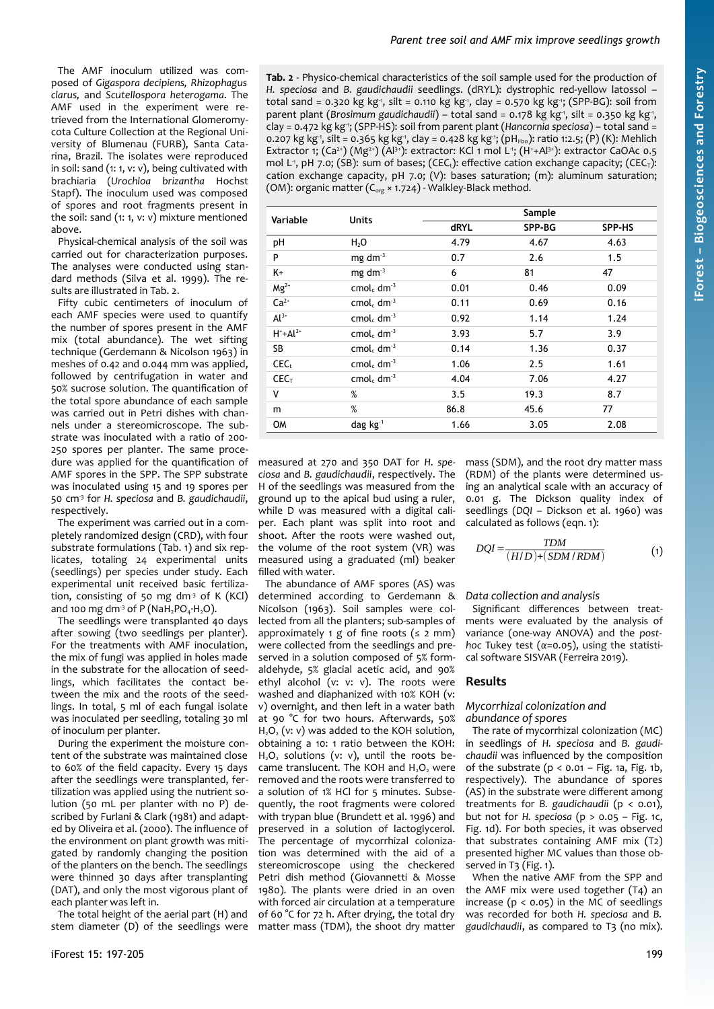The AMF inoculum utilized was composed of *Gigaspora decipiens, Rhizophagus clarus,* and *Scutellospora heterogama*. The AMF used in the experiment were retrieved from the International Glomeromycota Culture Collection at the Regional University of Blumenau (FURB), Santa Catarina, Brazil. The isolates were reproduced in soil: sand (1: 1, v: v), being cultivated with brachiaria (*Urochloa brizantha* Hochst Stapf). The inoculum used was composed of spores and root fragments present in the soil: sand (1: 1, v: v) mixture mentioned above.

Physical-chemical analysis of the soil was carried out for characterization purposes. The analyses were conducted using standard methods (Silva et al. 1999). The results are illustrated in [Tab. 2](#page-2-0).

Fifty cubic centimeters of inoculum of each AMF species were used to quantify the number of spores present in the AMF mix (total abundance). The wet sifting technique (Gerdemann & Nicolson 1963) in meshes of 0.42 and 0.044 mm was applied, followed by centrifugation in water and 50% sucrose solution. The quantification of the total spore abundance of each sample was carried out in Petri dishes with channels under a stereomicroscope. The substrate was inoculated with a ratio of 200- 250 spores per planter. The same procedure was applied for the quantification of AMF spores in the SPP. The SPP substrate was inoculated using 15 and 19 spores per 50 cm-3 for *H. speciosa* and *B. gaudichaudii*, respectively.

The experiment was carried out in a completely randomized design (CRD), with four substrate formulations [\(Tab. 1\)](#page-1-0) and six replicates, totaling 24 experimental units (seedlings) per species under study. Each experimental unit received basic fertilization, consisting of 50 mg dm<sup>3</sup> of K (KCl) and 100 mg dm<sup>-3</sup> of P (NaH<sub>2</sub>PO<sub>4</sub>·H<sub>2</sub>O).

The seedlings were transplanted 40 days after sowing (two seedlings per planter). For the treatments with AMF inoculation, the mix of fungi was applied in holes made in the substrate for the allocation of seedlings, which facilitates the contact between the mix and the roots of the seedlings. In total, 5 ml of each fungal isolate was inoculated per seedling, totaling 30 ml of inoculum per planter.

During the experiment the moisture content of the substrate was maintained close to 60% of the field capacity. Every 15 days after the seedlings were transplanted, fertilization was applied using the nutrient solution (50 mL per planter with no P) described by Furlani & Clark (1981) and adapted by Oliveira et al. (2000). The influence of the environment on plant growth was mitigated by randomly changing the position of the planters on the bench. The seedlings were thinned 30 days after transplanting (DAT), and only the most vigorous plant of each planter was left in.

The total height of the aerial part (H) and stem diameter (D) of the seedlings were <span id="page-2-0"></span>**Tab. 2** - Physico-chemical characteristics of the soil sample used for the production of *H. speciosa* and *B. gaudichaudii* seedlings. (dRYL): dystrophic red-yellow latossol – total sand = 0.320 kg kg , silt = 0.110 kg kg , clay = 0.570 kg kg ; (SPP-BG): soil from parent plant (Brosimum gaudichaudii) – total sand = 0.178 kg kg<sup>-</sup>, silt = 0.350 kg kg<sup>-</sup>, clay = 0.472 kg kg-1; (SPP-HS): soil from parent plant (*Hancornia speciosa*) – total sand = 0.207 kg kg<sup>-</sup>1, silt = 0.365 kg kg<sup>-1</sup>, clay = 0.428 kg kg<sup>-1</sup>; (pH<sub>H20</sub>): ratio 1:2.5; (P) (K): Mehlich Extractor 1;  $(Ca^{2+})$   $(Mg^{2+})$   $(Al^{3+})$ : extractor: KCl 1 mol L<sup>1</sup>;  $(H^+ + Al^{3+})$ : extractor CaOAc 0.5 mol L<sup>1</sup>, pH 7.0; (SB): sum of bases; (CEC<sub>t</sub>): effective cation exchange capacity; (CEC<sub>T</sub>): cation exchange capacity, pH 7.0; (V): bases saturation; (m): aluminum saturation; (OM): organic matter  $(C_{org} \times 1.724)$  - Walkley-Black method.

| Variable         | <b>Units</b>                       | Sample      |        |        |  |
|------------------|------------------------------------|-------------|--------|--------|--|
|                  |                                    | <b>dRYL</b> | SPP-BG | SPP-HS |  |
| pH               | H <sub>2</sub> O                   | 4.79        | 4.67   | 4.63   |  |
| P                | mg dm $3$                          | 0.7         | 2.6    | 1.5    |  |
| K+               | mg dm <sup>3</sup>                 | 6           | 81     | 47     |  |
| $Mg^{2+}$        | cmol <sub>c</sub> dm <sup>-3</sup> | 0.01        | 0.46   | 0.09   |  |
| $Ca2+$           | cmol <sub>c</sub> dm <sup>-3</sup> | 0.11        | 0.69   | 0.16   |  |
| $Al^{3+}$        | cmol <sub>c</sub> dm <sup>3</sup>  | 0.92        | 1.14   | 1.24   |  |
| $H^+ + Al^{3+}$  | cmol <sub>c</sub> dm <sup>3</sup>  | 3.93        | 5.7    | 3.9    |  |
| SB               | cmol <sub>c</sub> dm <sup>-3</sup> | 0.14        | 1.36   | 0.37   |  |
| CEC <sub>t</sub> | cmol <sub>c</sub> dm <sup>-3</sup> | 1.06        | 2.5    | 1.61   |  |
| CEC <sub>T</sub> | cmol <sub>c</sub> dm <sup>-3</sup> | 4.04        | 7.06   | 4.27   |  |
| ٧                | %                                  | 3.5         | 19.3   | 8.7    |  |
| m                | %                                  | 86.8        | 45.6   | 77     |  |
| OM               | dag $kg^{-1}$                      | 1.66        | 3.05   | 2.08   |  |

measured at 270 and 350 DAT for *H. speciosa* and *B. gaudichaudii*, respectively. The H of the seedlings was measured from the ground up to the apical bud using a ruler, while D was measured with a digital caliper. Each plant was split into root and shoot. After the roots were washed out, the volume of the root system (VR) was measured using a graduated (ml) beaker filled with water.

The abundance of AMF spores (AS) was determined according to Gerdemann & Nicolson (1963). Soil samples were collected from all the planters; sub-samples of approximately 1 g of fine roots  $(s 2 mm)$ were collected from the seedlings and preserved in a solution composed of 5% formaldehyde, 5% glacial acetic acid, and 90% ethyl alcohol (v: v: v). The roots were washed and diaphanized with 10% KOH (v: v) overnight, and then left in a water bath at 90 °C for two hours. Afterwards, 50% H<sub>2</sub>O<sub>2</sub> (v: y) was added to the KOH solution, obtaining a 10: 1 ratio between the KOH: H<sub>2</sub>O<sub>2</sub> solutions (v: v), until the roots became translucent. The KOH and  $H_2O_2$  were removed and the roots were transferred to a solution of 1% HCl for 5 minutes. Subsequently, the root fragments were colored with trypan blue (Brundett et al. 1996) and preserved in a solution of lactoglycerol. The percentage of mycorrhizal colonization was determined with the aid of a stereomicroscope using the checkered Petri dish method (Giovannetti & Mosse 1980). The plants were dried in an oven with forced air circulation at a temperature of 60 °C for 72 h. After drying, the total dry matter mass (TDM), the shoot dry matter

mass (SDM), and the root dry matter mass (RDM) of the plants were determined using an analytical scale with an accuracy of 0.01 g. The Dickson quality index of seedlings (*DQI* – Dickson et al. 1960) was calculated as follows (eqn. 1):

$$
DQI = \frac{TDM}{(H/D)+(SDM/RDM)}
$$
 (1)

#### *Data collection and analysis*

Significant differences between treatments were evaluated by the analysis of variance (one-way ANOVA) and the *posthoc* Tukey test (*α*=0.05), using the statistical software SISVAR (Ferreira 2019).

### **Results**

#### *Mycorrhizal colonization and abundance of spores*

The rate of mycorrhizal colonization (MC) in seedlings of *H. speciosa* and *B. gaudichaudii* was influenced by the composition of the substrate ( $p < 0.01$  – [Fig. 1a](#page-3-0), [Fig. 1](#page-3-0)b, respectively). The abundance of spores (AS) in the substrate were different among treatments for *B. gaudichaudii* (p < 0.01), but not for *H. speciosa* (p > 0.05 – [Fig. 1](#page-3-0)c, [Fig. 1](#page-3-0)d). For both species, it was observed that substrates containing AMF mix (T2) presented higher MC values than those ob-served in T<sub>3</sub> ([Fig. 1](#page-3-0)).

When the native AMF from the SPP and the AMF mix were used together (T4) an increase ( $p < 0.05$ ) in the MC of seedlings was recorded for both *H. speciosa* and *B. gaudichaudii*, as compared to T3 (no mix).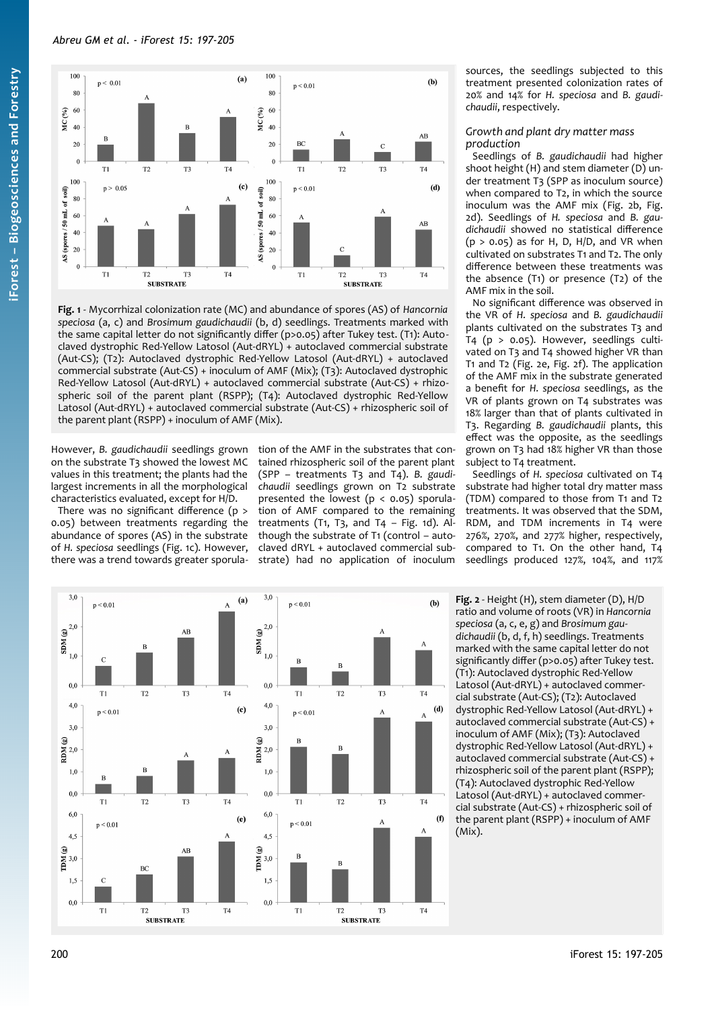

<span id="page-3-0"></span>**Fig. 1** - Mycorrhizal colonization rate (MC) and abundance of spores (AS) of *Hancornia speciosa* (a, c) and *Brosimum gaudichaudii* (b, d) seedlings. Treatments marked with the same capital letter do not significantly differ (p>0.05) after Tukey test. (T1): Autoclaved dystrophic Red-Yellow Latosol (Aut-dRYL) + autoclaved commercial substrate (Aut-CS); (T2): Autoclaved dystrophic Red-Yellow Latosol (Aut-dRYL) + autoclaved commercial substrate (Aut-CS) + inoculum of AMF (Mix); (T3): Autoclaved dystrophic Red-Yellow Latosol (Aut-dRYL) + autoclaved commercial substrate (Aut-CS) + rhizospheric soil of the parent plant (RSPP); (T4): Autoclaved dystrophic Red-Yellow Latosol (Aut-dRYL) + autoclaved commercial substrate (Aut-CS) + rhizospheric soil of the parent plant (RSPP) + inoculum of AMF (Mix).

However, *B. gaudichaudii* seedlings grown on the substrate T3 showed the lowest MC values in this treatment; the plants had the largest increments in all the morphological characteristics evaluated, except for H/D.

There was no significant difference (p > 0.05) between treatments regarding the abundance of spores (AS) in the substrate of *H. speciosa* seedlings ([Fig. 1](#page-3-0)c). However, there was a trend towards greater sporulation of the AMF in the substrates that contained rhizospheric soil of the parent plant (SPP – treatments T3 and T4). *B. gaudichaudii* seedlings grown on T2 substrate presented the lowest  $(p < 0.05)$  sporulation of AMF compared to the remaining treatments (T1, T3, and T4 – [Fig. 1d](#page-3-0)). Although the substrate of T1 (control – autoclaved dRYL + autoclaved commercial substrate) had no application of inoculum

sources, the seedlings subjected to this treatment presented colonization rates of 20% and 14% for *H. speciosa* and *B. gaudichaudii*, respectively.

*Growth and plant dry matter mass production*

Seedlings of *B. gaudichaudii* had higher shoot height (H) and stem diameter (D) under treatment T3 (SPP as inoculum source) when compared to T2, in which the source inoculum was the AMF mix [\(Fig. 2](#page-3-1)b, [Fig.](#page-3-1) [2d](#page-3-1)). Seedlings of *H. speciosa* and *B. gaudichaudii* showed no statistical difference  $(p > 0.05)$  as for H, D, H/D, and VR when cultivated on substrates T1 and T2. The only difference between these treatments was the absence (T1) or presence (T2) of the AMF mix in the soil.

No significant difference was observed in the VR of *H. speciosa* and *B. gaudichaudii* plants cultivated on the substrates T3 and T4 (p > 0.05). However, seedlings cultivated on T3 and T4 showed higher VR than T1 and T2 [\(Fig. 2e](#page-3-1), [Fig. 2](#page-3-1)f). The application of the AMF mix in the substrate generated a benefit for *H. speciosa* seedlings, as the VR of plants grown on T4 substrates was 18% larger than that of plants cultivated in T3. Regarding *B. gaudichaudii* plants, this effect was the opposite, as the seedlings grown on T3 had 18% higher VR than those subject to T4 treatment.

Seedlings of *H. speciosa* cultivated on T4 substrate had higher total dry matter mass (TDM) compared to those from T1 and T2 treatments. It was observed that the SDM, RDM, and TDM increments in T4 were 276%, 270%, and 277% higher, respectively, compared to T1. On the other hand, T4 seedlings produced 127%, 104%, and 117%



<span id="page-3-1"></span>**Fig. 2** - Height (H), stem diameter (D), H/D ratio and volume of roots (VR) in *Hancornia speciosa* (a, c, e, g) and *Brosimum gaudichaudii* (b, d, f, h) seedlings. Treatments marked with the same capital letter do not significantly differ (p>0.05) after Tukey test. (T1): Autoclaved dystrophic Red-Yellow Latosol (Aut-dRYL) + autoclaved commercial substrate (Aut-CS); (T2): Autoclaved dystrophic Red-Yellow Latosol (Aut-dRYL) + autoclaved commercial substrate (Aut-CS) + inoculum of AMF (Mix); (T3): Autoclaved dystrophic Red-Yellow Latosol (Aut-dRYL) + autoclaved commercial substrate (Aut-CS) + rhizospheric soil of the parent plant (RSPP); (T4): Autoclaved dystrophic Red-Yellow Latosol (Aut-dRYL) + autoclaved commercial substrate (Aut-CS) + rhizospheric soil of the parent plant (RSPP) + inoculum of AMF (Mix).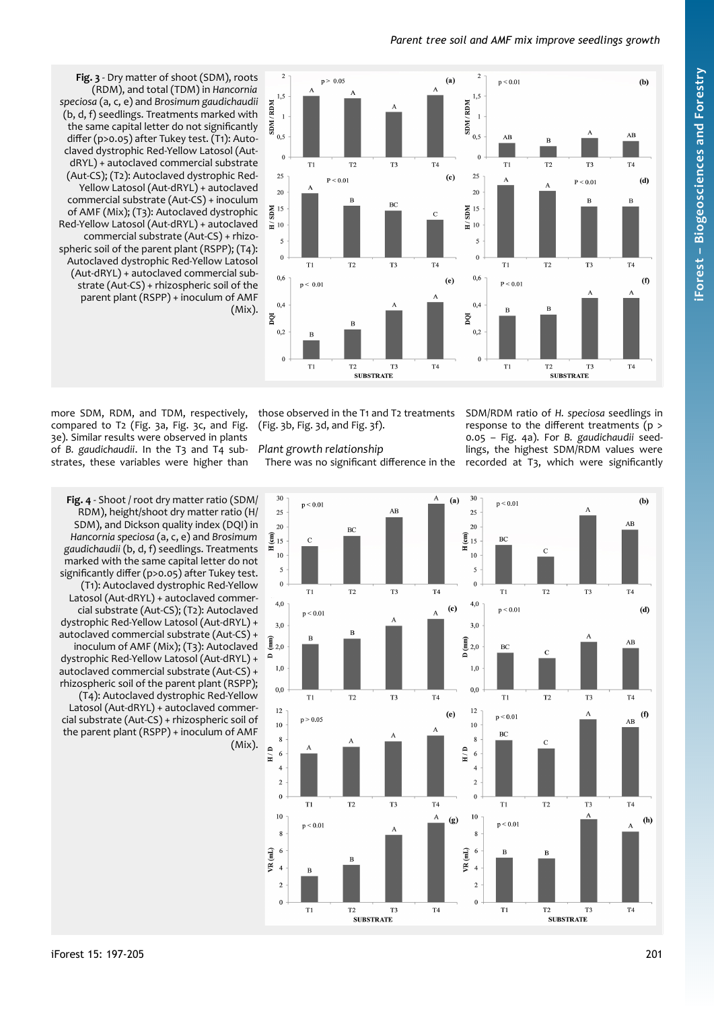# *Parent tree soil and AMF mix improve seedlings growth*



<span id="page-4-1"></span>**Fig. 3** - Dry matter of shoot (SDM), roots (RDM), and total (TDM) in *Hancornia speciosa* (a, c, e) and *Brosimum gaudichaudii* (b, d, f) seedlings. Treatments marked with the same capital letter do not significantly differ (p>0.05) after Tukey test. (T1): Autoclaved dystrophic Red-Yellow Latosol (AutdRYL) + autoclaved commercial substrate (Aut-CS); (T2): Autoclaved dystrophic Red-Yellow Latosol (Aut-dRYL) + autoclaved commercial substrate (Aut-CS) + inoculum of AMF (Mix); (T3): Autoclaved dystrophic Red-Yellow Latosol (Aut-dRYL) + autoclaved commercial substrate (Aut-CS) + rhizospheric soil of the parent plant (RSPP); (T4): Autoclaved dystrophic Red-Yellow Latosol (Aut-dRYL) + autoclaved commercial substrate (Aut-CS) + rhizospheric soil of the parent plant (RSPP) + inoculum of AMF (Mix).

more SDM, RDM, and TDM, respectively, compared to T2 [\(Fig. 3a](#page-4-1), [Fig. 3](#page-4-1)c, and [Fig.](#page-4-1) [3](#page-4-1)e). Similar results were observed in plants of *B. gaudichaudii*. In the T3 and T4 substrates, these variables were higher than

([Fig. 3](#page-4-1)b, [Fig. 3](#page-4-1)d, and [Fig. 3f](#page-4-1)).

*Plant growth relationship*

those observed in the T1 and T2 treatments SDM/RDM ratio of *H. speciosa* seedlings in There was no significant difference in the recorded at T3, which were significantly response to the different treatments (p > 0.05 – [Fig. 4](#page-4-0)a). For *B. gaudichaudii* seedlings, the highest SDM/RDM values were

<span id="page-4-0"></span>

RDM), height/shoot dry matter ratio (H/ SDM), and Dickson quality index (DQI) in *Hancornia speciosa* (a, c, e) and *Brosimum gaudichaudii* (b, d, f) seedlings. Treatments marked with the same capital letter do not significantly differ (p>0.05) after Tukey test. (T1): Autoclaved dystrophic Red-Yellow Latosol (Aut-dRYL) + autoclaved commercial substrate (Aut-CS); (T2): Autoclaved dystrophic Red-Yellow Latosol (Aut-dRYL) + autoclaved commercial substrate (Aut-CS) + inoculum of AMF (Mix); (T3): Autoclaved dystrophic Red-Yellow Latosol (Aut-dRYL) + autoclaved commercial substrate (Aut-CS) + rhizospheric soil of the parent plant (RSPP); (T4): Autoclaved dystrophic Red-Yellow Latosol (Aut-dRYL) + autoclaved commercial substrate (Aut-CS) + rhizospheric soil of the parent plant (RSPP) + inoculum of AMF (Mix).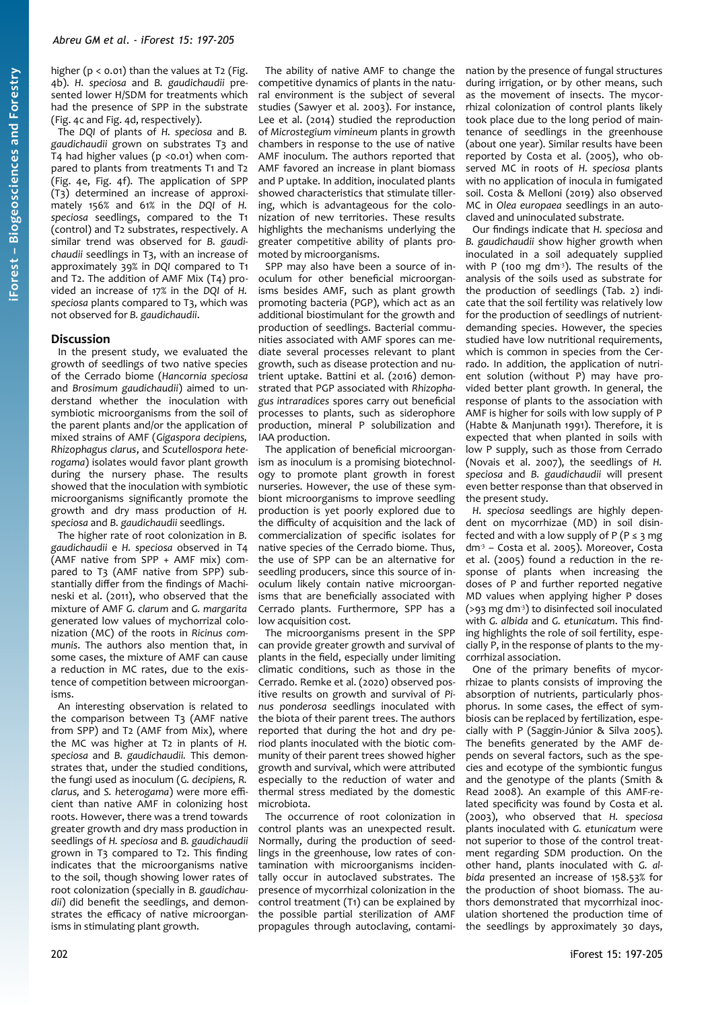higher ( $p < 0.01$ ) than the values at T2 [\(Fig.](#page-4-0) [4](#page-4-0)b). *H. speciosa* and *B. gaudichaudii* presented lower H/SDM for treatments which had the presence of SPP in the substrate ([Fig. 4](#page-4-0)c and [Fig. 4](#page-4-0)d, respectively).

The *DQI* of plants of *H. speciosa* and *B. gaudichaudii* grown on substrates T3 and T4 had higher values (p <0.01) when compared to plants from treatments T1 and T2 ([Fig. 4](#page-4-0)e, [Fig. 4](#page-4-0)f). The application of SPP (T3) determined an increase of approximately 156% and 61% in the *DQI* of *H. speciosa* seedlings, compared to the T1 (control) and T2 substrates, respectively. A similar trend was observed for *B. gaudichaudii* seedlings in T3, with an increase of approximately 39% in *DQI* compared to T1 and T2. The addition of AMF Mix (T4) provided an increase of 17% in the *DQI* of *H. speciosa* plants compared to T3, which was not observed for *B. gaudichaudii*.

### **Discussion**

In the present study, we evaluated the growth of seedlings of two native species of the Cerrado biome (*Hancornia speciosa* and *Brosimum gaudichaudii*) aimed to understand whether the inoculation with symbiotic microorganisms from the soil of the parent plants and/or the application of mixed strains of AMF (*Gigaspora decipiens, Rhizophagus clarus*, and *Scutellospora heterogama*) isolates would favor plant growth during the nursery phase. The results showed that the inoculation with symbiotic microorganisms significantly promote the growth and dry mass production of *H. speciosa* and *B. gaudichaudii* seedlings.

The higher rate of root colonization in *B. gaudichaudii* e *H. speciosa* observed in T4 (AMF native from SPP + AMF mix) compared to T3 (AMF native from SPP) substantially differ from the findings of Machineski et al. (2011), who observed that the mixture of AMF *G. clarum* and *G. margarita* generated low values of mychorrizal colonization (MC) of the roots in *Ricinus communis*. The authors also mention that, in some cases, the mixture of AMF can cause a reduction in MC rates, due to the existence of competition between microorganisms.

An interesting observation is related to the comparison between T3 (AMF native from SPP) and T2 (AMF from Mix), where the MC was higher at T2 in plants of *H. speciosa* and *B. gaudichaudii.* This demonstrates that, under the studied conditions, the fungi used as inoculum (*G. decipiens, R. clarus,* and *S. heterogama*) were more efficient than native AMF in colonizing host roots. However, there was a trend towards greater growth and dry mass production in seedlings of *H. speciosa* and *B. gaudichaudii* grown in T3 compared to T2. This finding indicates that the microorganisms native to the soil, though showing lower rates of root colonization (specially in *B. gaudichaudii*) did benefit the seedlings, and demonstrates the efficacy of native microorganisms in stimulating plant growth.

The ability of native AMF to change the competitive dynamics of plants in the natural environment is the subject of several studies (Sawyer et al. 2003). For instance, Lee et al. (2014) studied the reproduction of *Microstegium vimineum* plants in growth chambers in response to the use of native AMF inoculum. The authors reported that AMF favored an increase in plant biomass and P uptake. In addition, inoculated plants showed characteristics that stimulate tillering, which is advantageous for the colonization of new territories. These results highlights the mechanisms underlying the greater competitive ability of plants promoted by microorganisms.

SPP may also have been a source of inoculum for other beneficial microorganisms besides AMF, such as plant growth promoting bacteria (PGP), which act as an additional biostimulant for the growth and production of seedlings. Bacterial communities associated with AMF spores can mediate several processes relevant to plant growth, such as disease protection and nutrient uptake. Battini et al. (2016) demonstrated that PGP associated with *Rhizophagus intraradices* spores carry out beneficial processes to plants, such as siderophore production, mineral P solubilization and IAA production.

The application of beneficial microorganism as inoculum is a promising biotechnology to promote plant growth in forest nurseries. However, the use of these symbiont microorganisms to improve seedling production is yet poorly explored due to the difficulty of acquisition and the lack of commercialization of specific isolates for native species of the Cerrado biome. Thus, the use of SPP can be an alternative for seedling producers, since this source of inoculum likely contain native microorganisms that are beneficially associated with Cerrado plants. Furthermore, SPP has a low acquisition cost.

The microorganisms present in the SPP can provide greater growth and survival of plants in the field, especially under limiting climatic conditions, such as those in the Cerrado. Remke et al. (2020) observed positive results on growth and survival of *Pinus ponderosa* seedlings inoculated with the biota of their parent trees. The authors reported that during the hot and dry period plants inoculated with the biotic community of their parent trees showed higher growth and survival, which were attributed especially to the reduction of water and thermal stress mediated by the domestic microbiota.

The occurrence of root colonization in control plants was an unexpected result. Normally, during the production of seedlings in the greenhouse, low rates of contamination with microorganisms incidentally occur in autoclaved substrates. The presence of mycorrhizal colonization in the control treatment (T1) can be explained by the possible partial sterilization of AMF propagules through autoclaving, contamination by the presence of fungal structures during irrigation, or by other means, such as the movement of insects. The mycorrhizal colonization of control plants likely took place due to the long period of maintenance of seedlings in the greenhouse (about one year). Similar results have been reported by Costa et al. (2005), who observed MC in roots of *H. speciosa* plants with no application of inocula in fumigated soil. Costa & Melloni (2019) also observed MC in *Olea europaea* seedlings in an autoclaved and uninoculated substrate.

Our findings indicate that *H. speciosa* and *B. gaudichaudii* show higher growth when inoculated in a soil adequately supplied with P (100 mg dm<sup>3</sup>). The results of the analysis of the soils used as substrate for the production of seedlings ([Tab. 2\)](#page-2-0) indicate that the soil fertility was relatively low for the production of seedlings of nutrientdemanding species. However, the species studied have low nutritional requirements, which is common in species from the Cerrado. In addition, the application of nutrient solution (without P) may have provided better plant growth. In general, the response of plants to the association with AMF is higher for soils with low supply of P (Habte & Manjunath 1991). Therefore, it is expected that when planted in soils with low P supply, such as those from Cerrado (Novais et al. 2007), the seedlings of *H. speciosa* and *B. gaudichaudii* will present even better response than that observed in the present study.

*H. speciosa* seedlings are highly dependent on mycorrhizae (MD) in soil disinfected and with a low supply of  $P(P \le 3$  mg dm-3 – Costa et al. 2005). Moreover, Costa et al. (2005) found a reduction in the response of plants when increasing the doses of P and further reported negative MD values when applying higher P doses ( $>93$  mg dm<sup>3</sup>) to disinfected soil inoculated with *G. albida* and *G. etunicatum*. This finding highlights the role of soil fertility, especially P, in the response of plants to the mycorrhizal association.

One of the primary benefits of mycorrhizae to plants consists of improving the absorption of nutrients, particularly phosphorus. In some cases, the effect of symbiosis can be replaced by fertilization, especially with P (Saggin-Júnior & Silva 2005). The benefits generated by the AMF depends on several factors, such as the species and ecotype of the symbiontic fungus and the genotype of the plants (Smith & Read 2008). An example of this AMF-related specificity was found by Costa et al. (2003), who observed that *H. speciosa* plants inoculated with *G. etunicatum* were not superior to those of the control treatment regarding SDM production. On the other hand, plants inoculated with *G. albida* presented an increase of 158.53% for the production of shoot biomass. The authors demonstrated that mycorrhizal inoculation shortened the production time of the seedlings by approximately 30 days,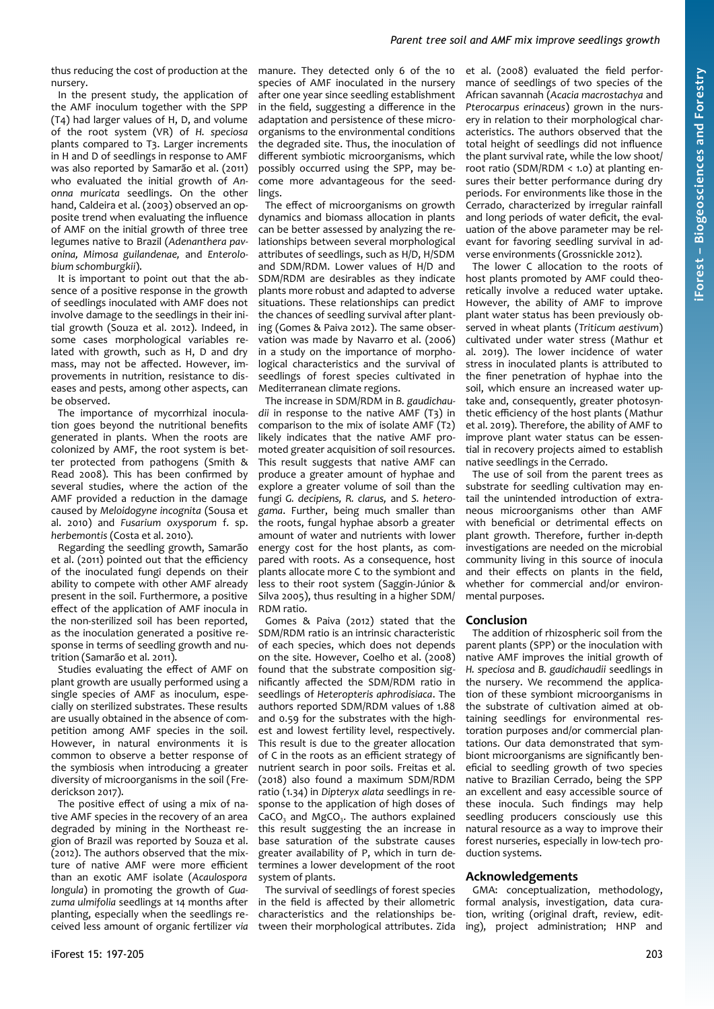thus reducing the cost of production at the nursery.

In the present study, the application of the AMF inoculum together with the SPP (T4) had larger values of H, D, and volume of the root system (VR) of *H. speciosa* plants compared to T3. Larger increments in H and D of seedlings in response to AMF was also reported by Samarão et al. (2011) who evaluated the initial growth of *Anonna muricata* seedlings. On the other hand, Caldeira et al. (2003) observed an opposite trend when evaluating the influence of AMF on the initial growth of three tree legumes native to Brazil (*Adenanthera pavonina, Mimosa guilandenae,* and *Enterolobium schomburgkii*).

It is important to point out that the absence of a positive response in the growth of seedlings inoculated with AMF does not involve damage to the seedlings in their initial growth (Souza et al. 2012). Indeed, in some cases morphological variables related with growth, such as H, D and dry mass, may not be affected. However, improvements in nutrition, resistance to diseases and pests, among other aspects, can be observed.

The importance of mycorrhizal inoculation goes beyond the nutritional benefits generated in plants. When the roots are colonized by AMF, the root system is better protected from pathogens (Smith & Read 2008). This has been confirmed by several studies, where the action of the AMF provided a reduction in the damage caused by *Meloidogyne incognita* (Sousa et al. 2010) and *Fusarium oxysporum* f. sp. *herbemontis* (Costa et al. 2010).

Regarding the seedling growth, Samarão et al. (2011) pointed out that the efficiency of the inoculated fungi depends on their ability to compete with other AMF already present in the soil. Furthermore, a positive effect of the application of AMF inocula in the non-sterilized soil has been reported, as the inoculation generated a positive response in terms of seedling growth and nutrition (Samarão et al. 2011).

Studies evaluating the effect of AMF on plant growth are usually performed using a single species of AMF as inoculum, especially on sterilized substrates. These results are usually obtained in the absence of competition among AMF species in the soil. However, in natural environments it is common to observe a better response of the symbiosis when introducing a greater diversity of microorganisms in the soil (Frederickson 2017).

The positive effect of using a mix of native AMF species in the recovery of an area degraded by mining in the Northeast region of Brazil was reported by Souza et al. (2012). The authors observed that the mixture of native AMF were more efficient than an exotic AMF isolate (*Acaulospora longula*) in promoting the growth of *Guazuma ulmifolia* seedlings at 14 months after planting, especially when the seedlings received less amount of organic fertilizer *via*

manure. They detected only 6 of the 10 species of AMF inoculated in the nursery after one year since seedling establishment in the field, suggesting a difference in the adaptation and persistence of these microorganisms to the environmental conditions the degraded site. Thus, the inoculation of different symbiotic microorganisms, which possibly occurred using the SPP, may become more advantageous for the seedlings.

The effect of microorganisms on growth dynamics and biomass allocation in plants can be better assessed by analyzing the relationships between several morphological attributes of seedlings, such as H/D, H/SDM and SDM/RDM. Lower values of H/D and SDM/RDM are desirables as they indicate plants more robust and adapted to adverse situations. These relationships can predict the chances of seedling survival after planting (Gomes & Paiva 2012). The same observation was made by Navarro et al. (2006) in a study on the importance of morphological characteristics and the survival of seedlings of forest species cultivated in Mediterranean climate regions.

The increase in SDM/RDM in *B. gaudichaudii* in response to the native AMF (T3) in comparison to the mix of isolate AMF (T2) likely indicates that the native AMF promoted greater acquisition of soil resources. This result suggests that native AMF can produce a greater amount of hyphae and explore a greater volume of soil than the fungi *G. decipiens, R. clarus,* and *S. heterogama*. Further, being much smaller than the roots, fungal hyphae absorb a greater amount of water and nutrients with lower energy cost for the host plants, as compared with roots. As a consequence, host plants allocate more C to the symbiont and less to their root system (Saggin-Júnior & Silva 2005), thus resulting in a higher SDM/ RDM ratio.

Gomes & Paiva (2012) stated that the SDM/RDM ratio is an intrinsic characteristic of each species, which does not depends on the site. However, Coelho et al. (2008) found that the substrate composition significantly affected the SDM/RDM ratio in seedlings of *Heteropteris aphrodisiaca*. The authors reported SDM/RDM values of 1.88 and 0.59 for the substrates with the highest and lowest fertility level, respectively. This result is due to the greater allocation of C in the roots as an efficient strategy of nutrient search in poor soils. Freitas et al. (2018) also found a maximum SDM/RDM ratio (1.34) in *Dipteryx alata* seedlings in response to the application of high doses of  $CaCO<sub>3</sub>$  and MgCO<sub>3</sub>. The authors explained this result suggesting the an increase in base saturation of the substrate causes greater availability of P, which in turn determines a lower development of the root system of plants.

The survival of seedlings of forest species in the field is affected by their allometric characteristics and the relationships between their morphological attributes. Zida et al. (2008) evaluated the field performance of seedlings of two species of the African savannah (*Acacia macrostachya* and *Pterocarpus erinaceus*) grown in the nursery in relation to their morphological characteristics. The authors observed that the total height of seedlings did not influence the plant survival rate, while the low shoot/ root ratio (SDM/RDM < 1.0) at planting ensures their better performance during dry periods. For environments like those in the Cerrado, characterized by irregular rainfall and long periods of water deficit, the evaluation of the above parameter may be relevant for favoring seedling survival in adverse environments (Grossnickle 2012).

The lower C allocation to the roots of host plants promoted by AMF could theoretically involve a reduced water uptake. However, the ability of AMF to improve plant water status has been previously observed in wheat plants (*Triticum aestivum*) cultivated under water stress (Mathur et al. 2019). The lower incidence of water stress in inoculated plants is attributed to the finer penetration of hyphae into the soil, which ensure an increased water uptake and, consequently, greater photosynthetic efficiency of the host plants (Mathur et al. 2019). Therefore, the ability of AMF to improve plant water status can be essential in recovery projects aimed to establish native seedlings in the Cerrado.

The use of soil from the parent trees as substrate for seedling cultivation may entail the unintended introduction of extraneous microorganisms other than AMF with beneficial or detrimental effects on plant growth. Therefore, further in-depth investigations are needed on the microbial community living in this source of inocula and their effects on plants in the field, whether for commercial and/or environmental purposes.

### **Conclusion**

The addition of rhizospheric soil from the parent plants (SPP) or the inoculation with native AMF improves the initial growth of *H. speciosa* and *B. gaudichaudii* seedlings in the nursery. We recommend the application of these symbiont microorganisms in the substrate of cultivation aimed at obtaining seedlings for environmental restoration purposes and/or commercial plantations. Our data demonstrated that symbiont microorganisms are significantly beneficial to seedling growth of two species native to Brazilian Cerrado, being the SPP an excellent and easy accessible source of these inocula. Such findings may help seedling producers consciously use this natural resource as a way to improve their forest nurseries, especially in low-tech production systems.

### **Acknowledgements**

GMA: conceptualization, methodology, formal analysis, investigation, data curation, writing (original draft, review, editing), project administration; HNP and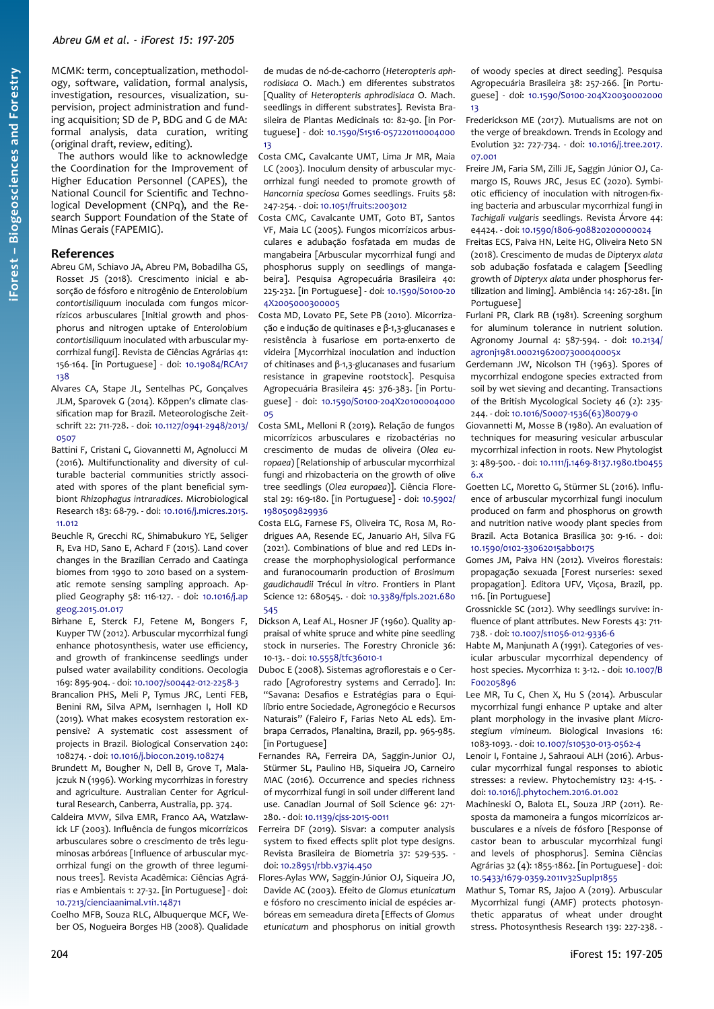MCMK: term, conceptualization, methodology, software, validation, formal analysis, investigation, resources, visualization, supervision, project administration and funding acquisition; SD de P, BDG and G de MA: formal analysis, data curation, writing (original draft, review, editing).

The authors would like to acknowledge the Coordination for the Improvement of Higher Education Personnel (CAPES), the National Council for Scientific and Technological Development (CNPq), and the Research Support Foundation of the State of Minas Gerais (FAPEMIG).

#### **References**

- Abreu GM, Schiavo JA, Abreu PM, Bobadilha GS, Rosset JS (2018). Crescimento inicial e absorção de fósforo e nitrogênio de *Enterolobium contortisiliquum* inoculada com fungos micorrízicos arbusculares [Initial growth and phosphorus and nitrogen uptake of *Enterolobium contortisiliquum* inoculated with arbuscular mycorrhizal fungi]. Revista de Ciências Agrárias 41: 156-164. [in Portuguese] - doi: [10.19084/RCA17](https://doi.org/10.19084/RCA17138) [138](https://doi.org/10.19084/RCA17138)
- Alvares CA, Stape JL, Sentelhas PC, Gonçalves JLM, Sparovek G (2014). Köppen's climate classification map for Brazil. Meteorologische Zeitschrift 22: 711-728. - doi: [10.1127/0941-2948/2013/](https://doi.org/10.1127/0941-2948/2013/0507) [0507](https://doi.org/10.1127/0941-2948/2013/0507)
- Battini F, Cristani C, Giovannetti M, Agnolucci M (2016). Multifunctionality and diversity of culturable bacterial communities strictly associated with spores of the plant beneficial symbiont *Rhizophagus intraradices*. Microbiological Research 183: 68-79. - doi: [10.1016/j.micres.2015.](https://doi.org/10.1016/j.micres.2015.11.012) [11.012](https://doi.org/10.1016/j.micres.2015.11.012)
- Beuchle R, Grecchi RC, Shimabukuro YE, Seliger R, Eva HD, Sano E, Achard F (2015). Land cover changes in the Brazilian Cerrado and Caatinga biomes from 1990 to 2010 based on a systematic remote sensing sampling approach. Applied Geography 58: 116-127. - doi: [10.1016/j.ap](https://doi.org/10.1016/j.apgeog.2015.01.017) [geog.2015.01.017](https://doi.org/10.1016/j.apgeog.2015.01.017)
- Birhane E, Sterck FJ, Fetene M, Bongers F, Kuyper TW (2012). Arbuscular mycorrhizal fungi enhance photosynthesis, water use efficiency, and growth of frankincense seedlings under pulsed water availability conditions. Oecologia 169: 895-904. - doi: [10.1007/s00442-012-2258-3](https://doi.org/10.1007/s00442-012-2258-3)
- Brancalion PHS, Meli P, Tymus JRC, Lenti FEB, Benini RM, Silva APM, Isernhagen I, Holl KD (2019). What makes ecosystem restoration expensive? A systematic cost assessment of projects in Brazil. Biological Conservation 240: 108274. - doi: [10.1016/j.biocon.2019.108274](https://doi.org/10.1016/j.biocon.2019.108274)
- Brundett M, Bougher N, Dell B, Grove T, Malajczuk N (1996). Working mycorrhizas in forestry and agriculture. Australian Center for Agricultural Research, Canberra, Australia, pp. 374.
- Caldeira MVW, Silva EMR, Franco AA, Watzlawick LF (2003). Influência de fungos micorrízicos arbusculares sobre o crescimento de três leguminosas arbóreas [Influence of arbuscular mycorrhizal fungi on the growth of three leguminous trees]. Revista Acadêmica: Ciências Agrárias e Ambientais 1: 27-32. [in Portuguese] - doi: [10.7213/cienciaanimal.v1i1.14871](https://doi.org/10.7213/cienciaanimal.v1i1.14871)

Coelho MFB, Souza RLC, Albuquerque MCF, Weber OS, Nogueira Borges HB (2008). Qualidade

de mudas de nó-de-cachorro (*Heteropteris aphrodisiaca* O. Mach.) em diferentes substratos [Quality of *Heteropteris aphrodisiaca* O. Mach. seedlings in different substrates]. Revista Brasileira de Plantas Medicinais 10: 82-90. [in Portuguese] - doi: [10.1590/S1516-057220110004000](https://doi.org/10.1590/S1516-05722011000400013) [13](https://doi.org/10.1590/S1516-05722011000400013)

Costa CMC, Cavalcante UMT, Lima Jr MR, Maia LC (2003). Inoculum density of arbuscular mycorrhizal fungi needed to promote growth of *Hancornia speciosa* Gomes seedlings. Fruits 58: 247-254. - doi: [10.1051/fruits:2003012](https://doi.org/10.1051/fruits:2003012)

- Costa CMC, Cavalcante UMT, Goto BT, Santos VF, Maia LC (2005). Fungos micorrízicos arbusculares e adubação fosfatada em mudas de mangabeira [Arbuscular mycorrhizal fungi and phosphorus supply on seedlings of mangabeira]. Pesquisa Agropecuária Brasileira 40: 225-232. [in Portuguese] - doi: [10.1590/S0100-20](https://doi.org/10.1590/S0100-204X2005000300005) [4X2005000300005](https://doi.org/10.1590/S0100-204X2005000300005)
- Costa MD, Lovato PE, Sete PB (2010). Micorrização e indução de quitinases e β-1,3-glucanases e resistência à fusariose em porta-enxerto de videira [Mycorrhizal inoculation and induction of chitinases and β-1,3-glucanases and fusarium resistance in grapevine rootstock]. Pesquisa Agropecuária Brasileira 45: 376-383. [in Portuguese] - doi: [10.1590/S0100-204X20100004000](https://doi.org/10.1590/S0100-204X2010000400005) [05](https://doi.org/10.1590/S0100-204X2010000400005)
- Costa SML, Melloni R (2019). Relação de fungos micorrízicos arbusculares e rizobactérias no crescimento de mudas de oliveira (*Olea europaea*) [Relationship of arbuscular mycorrhizal fungi and rhizobacteria on the growth of olive tree seedlings (*Olea europaea*)]. Ciência Florestal 29: 169-180. [in Portuguese] - doi: [10.5902/](https://doi.org/10.5902/1980509829936) [1980509829936](https://doi.org/10.5902/1980509829936)
- Costa ELG, Farnese FS, Oliveira TC, Rosa M, Rodrigues AA, Resende EC, Januario AH, Silva FG (2021). Combinations of blue and red LEDs increase the morphophysiological performance and furanocoumarin production of *Brosimum gaudichaudii* Trécul *in vitro*. Frontiers in Plant Science 12: 680545. - doi: [10.3389/fpls.2021.680](https://doi.org/10.3389/fpls.2021.680545) [545](https://doi.org/10.3389/fpls.2021.680545)
- Dickson A, Leaf AL, Hosner JF (1960). Quality appraisal of white spruce and white pine seedling stock in nurseries. The Forestry Chronicle 36: 10-13. - doi: [10.5558/tfc36010-1](https://doi.org/10.5558/tfc36010-1)
- Duboc E (2008). Sistemas agroflorestais e o Cerrado [Agroforestry systems and Cerrado]. In: "Savana: Desafios e Estratégias para o Equilíbrio entre Sociedade, Agronegócio e Recursos Naturais" (Faleiro F, Farias Neto AL eds). Embrapa Cerrados, Planaltina, Brazil, pp. 965-985. [in Portuguese]
- Fernandes RA, Ferreira DA, Saggin-Junior OJ, Stürmer SL, Paulino HB, Siqueira JO, Carneiro MAC (2016). Occurrence and species richness of mycorrhizal fungi in soil under different land use. Canadian Journal of Soil Science 96: 271- 280. - doi: [10.1139/cjss-2015-0011](https://doi.org/10.1139/cjss-2015-0011)
- Ferreira DF (2019). Sisvar: a computer analysis system to fixed effects split plot type designs. Revista Brasileira de Biometria 37: 529-535. doi: [10.28951/rbb.v37i4.450](https://doi.org/10.28951/rbb.v37i4.450)
- Flores-Aylas WW, Saggin-Júnior OJ, Siqueira JO, Davide AC (2003). Efeito de *Glomus etunicatum* e fósforo no crescimento inicial de espécies arbóreas em semeadura direta [Effects of *Glomus etunicatum* and phosphorus on initial growth

of woody species at direct seeding]. Pesquisa Agropecuária Brasileira 38: 257-266. [in Portuguese] - doi: [10.1590/S0100-204X20030002000](https://doi.org/10.1590/S0100-204X2003000200013) [13](https://doi.org/10.1590/S0100-204X2003000200013)

- Frederickson ME (2017). Mutualisms are not on the verge of breakdown. Trends in Ecology and Evolution 32: 727-734. - doi: [10.1016/j.tree.2017.](https://doi.org/10.1016/j.tree.2017.07.001) [07.001](https://doi.org/10.1016/j.tree.2017.07.001)
- Freire JM, Faria SM, Zilli JE, Saggin Júnior OJ, Camargo IS, Rouws JRC, Jesus EC (2020). Symbiotic efficiency of inoculation with nitrogen-fixing bacteria and arbuscular mycorrhizal fungi in *Tachigali vulgaris* seedlings. Revista Árvore 44: e4424. - doi: [10.1590/1806-908820200000024](https://doi.org/10.1590/1806-908820200000024)
- Freitas ECS, Paiva HN, Leite HG, Oliveira Neto SN (2018). Crescimento de mudas de *Dipteryx alata* sob adubação fosfatada e calagem [Seedling growth of *Dipteryx alata* under phosphorus fertilization and liming]. Ambiência 14: 267-281. [in Portuguese]
- Furlani PR, Clark RB (1981). Screening sorghum for aluminum tolerance in nutrient solution. Agronomy Journal 4: 587-594. - doi: [10.2134/](https://doi.org/10.2134/agronj1981.00021962007300040005x) [agronj1981.00021962007300040005x](https://doi.org/10.2134/agronj1981.00021962007300040005x)
- Gerdemann JW, Nicolson TH (1963). Spores of mycorrhizal endogone species extracted from soil by wet sieving and decanting. Transactions of the British Mycological Society 46 (2): 235- 244. - doi: [10.1016/S0007-1536\(63\)80079-0](https://doi.org/10.1016/S0007-1536(63)80079-0)
- Giovannetti M, Mosse B (1980). An evaluation of techniques for measuring vesicular arbuscular mycorrhizal infection in roots. New Phytologist 3: 489-500. - doi: [10.1111/j.1469-8137.1980.tb0455](https://doi.org/10.1111/j.1469-8137.1980.tb04556.x) [6.x](https://doi.org/10.1111/j.1469-8137.1980.tb04556.x)
- Goetten LC, Moretto G, Stürmer SL (2016). Influence of arbuscular mycorrhizal fungi inoculum produced on farm and phosphorus on growth and nutrition native woody plant species from Brazil. Acta Botanica Brasilica 30: 9-16. - doi: [10.1590/0102-33062015abb0175](https://doi.org/10.1590/0102-33062015abb0175)
- Gomes JM, Paiva HN (2012). Viveiros florestais: propagação sexuada [Forest nurseries: sexed propagation]. Editora UFV, Viçosa, Brazil, pp. 116. [in Portuguese]
- Grossnickle SC (2012). Why seedlings survive: influence of plant attributes. New Forests 43: 711- 738. - doi: [10.1007/s11056-012-9336-6](https://doi.org/10.1007/s11056-012-9336-6)
- Habte M, Manjunath A (1991). Categories of vesicular arbuscular mycorrhizal dependency of host species. Mycorrhiza 1: 3-12. - doi: [10.1007/B](https://doi.org/10.1007/BF00205896) [F00205896](https://doi.org/10.1007/BF00205896)
- Lee MR, Tu C, Chen X, Hu S (2014). Arbuscular mycorrhizal fungi enhance P uptake and alter plant morphology in the invasive plant *Microstegium vimineum*. Biological Invasions 16: 1083-1093. - doi: [10.1007/s10530-013-0562-4](https://doi.org/10.1007/s10530-013-0562-4)
- Lenoir I, Fontaine J, Sahraoui ALH (2016). Arbuscular mycorrhizal fungal responses to abiotic stresses: a review. Phytochemistry 123: 4-15. doi: [10.1016/j.phytochem.2016.01.002](https://doi.org/10.1016/j.phytochem.2016.01.002)
- Machineski O, Balota EL, Souza JRP (2011). Resposta da mamoneira a fungos micorrízicos arbusculares e a níveis de fósforo [Response of castor bean to arbuscular mycorrhizal fungi and levels of phosphorus]. Semina Ciências Agrárias 32 (4): 1855-1862. [in Portuguese] - doi: [10.5433/1679-0359.2011v32Suplp1855](https://doi.org/10.5433/1679-0359.2011v32Suplp1855)
- Mathur S, Tomar RS, Jajoo A (2019). Arbuscular Mycorrhizal fungi (AMF) protects photosynthetic apparatus of wheat under drought stress. Photosynthesis Research 139: 227-238. -